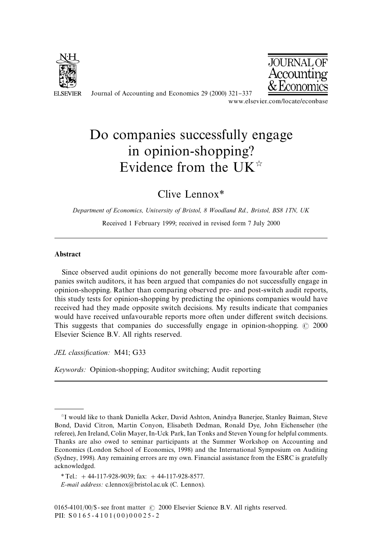

Journal of Accounting and Economics 29 (2000) 321-337<br>www.elsevier.com/locate/econbase



# Do companies successfully engage in opinion-shopping? Evidence from the UK $\overline{\mathbb{R}}$

Clive Lennox*\**

*Department of Economics, University of Bristol, 8 Woodland Rd., Bristol, BS8 1TN, UK*

Received 1 February 1999; received in revised form 7 July 2000

## Abstract

Since observed audit opinions do not generally become more favourable after companies switch auditors, it has been argued that companies do not successfully engage in opinion-shopping. Rather than comparing observed pre- and post-switch audit reports, this study tests for opinion-shopping by predicting the opinions companies would have received had they made opposite switch decisions. My results indicate that companies would have received unfavourable reports more often under different switch decisions. This suggests that companies do successfully engage in opinion-shopping.  $\odot$  2000 Elsevier Science B.V. All rights reserved.

*JEL classification:* M41; G33

*Keywords:* Opinion-shopping; Auditor switching; Audit reporting

<sup>&</sup>lt;sup>\*</sup>I would like to thank Daniella Acker, David Ashton, Anindya Banerjee, Stanley Baiman, Steve Bond, David Citron, Martin Conyon, Elisabeth Dedman, Ronald Dye, John Eichenseher (the referee), Jen Ireland, Colin Mayer, In-Uck Park, Ian Tonks and Steven Young for helpful comments. Thanks are also owed to seminar participants at the Summer Workshop on Accounting and Economics (London School of Economics, 1998) and the International Symposium on Auditing (Sydney, 1998). Any remaining errors are my own. Financial assistance from the ESRC is gratefully acknowledged.

*<sup>\*</sup>*Tel.: #44-117-928-9039; fax: #44-117-928-8577. *E-mail address:* c.lennox@bristol.ac.uk (C. Lennox).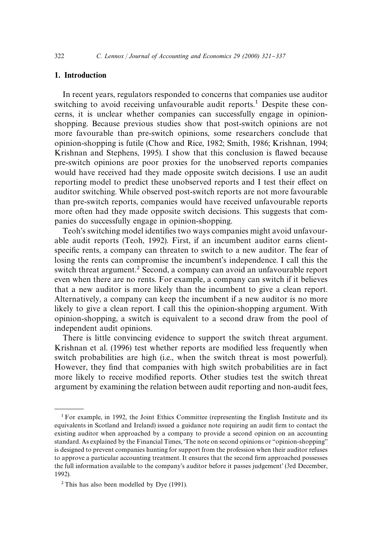# 1. Introduction

In recent years, regulators responded to concerns that companies use auditor switching to avoid receiving unfavourable audit reports.<sup>1</sup> Despite these concerns, it is unclear whether companies can successfully engage in opinionshopping. Because previous studies show that post-switch opinions are not more favourable than pre-switch opinions, some researchers conclude that opinion-shopping is futile (Chow and Rice, 1982; Smith, 1986; Krishnan, 1994; Krishnan and Stephens, 1995). I show that this conclusion is flawed because pre-switch opinions are poor proxies for the unobserved reports companies would have received had they made opposite switch decisions. I use an audit reporting model to predict these unobserved reports and I test their effect on auditor switching. While observed post-switch reports are not more favourable than pre-switch reports, companies would have received unfavourable reports more often had they made opposite switch decisions. This suggests that companies do successfully engage in opinion-shopping.

Teoh's switching model identifies two ways companies might avoid unfavourable audit reports (Teoh, 1992). First, if an incumbent auditor earns clientspecific rents, a company can threaten to switch to a new auditor. The fear of losing the rents can compromise the incumbent's independence. I call this the switch threat argument.<sup>2</sup> Second, a company can avoid an unfavourable report even when there are no rents. For example, a company can switch if it believes that a new auditor is more likely than the incumbent to give a clean report. Alternatively, a company can keep the incumbent if a new auditor is no more likely to give a clean report. I call this the opinion-shopping argument. With opinion-shopping, a switch is equivalent to a second draw from the pool of independent audit opinions.

There is little convincing evidence to support the switch threat argument. Krishnan et al. (1996) test whether reports are modified less frequently when switch probabilities are high (i.e., when the switch threat is most powerful). However, they find that companies with high switch probabilities are in fact more likely to receive modified reports. Other studies test the switch threat argument by examining the relation between audit reporting and non-audit fees,

<sup>&</sup>lt;sup>1</sup> For example, in 1992, the Joint Ethics Committee (representing the English Institute and its equivalents in Scotland and Ireland) issued a guidance note requiring an audit firm to contact the existing auditor when approached by a company to provide a second opinion on an accounting standard. As explained by the Financial Times, 'The note on second opinions or "opinion-shopping" is designed to prevent companies hunting for support from the profession when their auditor refuses to approve a particular accounting treatment. It ensures that the second firm approached possesses the full information available to the company's auditor before it passes judgement' (3rd December, 1992).

<sup>&</sup>lt;sup>2</sup> This has also been modelled by Dye (1991).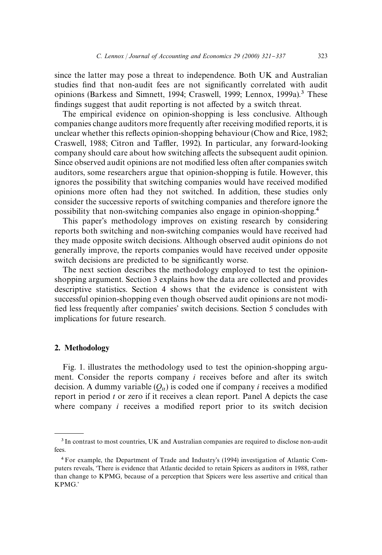since the latter may pose a threat to independence. Both UK and Australian studies find that non-audit fees are not significantly correlated with audit opinions (Barkess and Simnett, 1994; Craswell, 1999; Lennox, 1999a).<sup>3</sup> These findings suggest that audit reporting is not affected by a switch threat.

The empirical evidence on opinion-shopping is less conclusive. Although companies change auditors more frequently after receiving modified reports, it is unclear whether this reflects opinion-shopping behaviour (Chow and Rice, 1982; Craswell, 1988; Citron and Taffler, 1992). In particular, any forward-looking company should care about how switching affects the subsequent audit opinion. Since observed audit opinions are not modified less often after companies switch auditors, some researchers argue that opinion-shopping is futile. However, this ignores the possibility that switching companies would have received modified opinions more often had they not switched. In addition, these studies only consider the successive reports of switching companies and therefore ignore the possibility that non-switching companies also engage in opinion-shopping.4

This paper's methodology improves on existing research by considering reports both switching and non-switching companies would have received had they made opposite switch decisions. Although observed audit opinions do not generally improve, the reports companies would have received under opposite switch decisions are predicted to be significantly worse.

The next section describes the methodology employed to test the opinionshopping argument. Section 3 explains how the data are collected and provides descriptive statistics. Section 4 shows that the evidence is consistent with successful opinion-shopping even though observed audit opinions are not modi fied less frequently after companies' switch decisions. Section 5 concludes with implications for future research.

# 2. Methodology

Fig. 1. illustrates the methodology used to test the opinion-shopping argument. Consider the reports company *i* receives before and after its switch decision. A dummy variable  $(O_{ii})$  is coded one if company *i* receives a modified report in period *t* or zero if it receives a clean report. Panel A depicts the case where company  $i$  receives a modified report prior to its switch decision

<sup>3</sup> In contrast to most countries, UK and Australian companies are required to disclose non-audit fees.

<sup>4</sup>For example, the Department of Trade and Industry's (1994) investigation of Atlantic Computers reveals, 'There is evidence that Atlantic decided to retain Spicers as auditors in 1988, rather than change to KPMG, because of a perception that Spicers were less assertive and critical than KPMG.'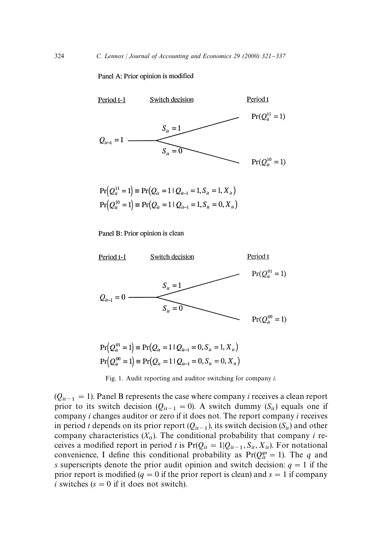Panel A: Prior opinion is modified



$$
Pr(Q_{ii}^{11} = 1) \equiv Pr(Q_{ii} = 1 | Q_{ii-1} = 1, S_{ii} = 1, X_{ii})
$$
  
\n
$$
Pr(Q_{ii}^{10} = 1) \equiv Pr(Q_{ii} = 1 | Q_{ii-1} = 1, S_{ii} = 0, X_{ii})
$$

Panel B: Prior opinion is clean



$$
\Pr\left(Q_u^{01} = 1\right) \equiv \Pr\left(Q_u = 1 \mid Q_{u-1} = 0, S_u = 1, X_u\right)
$$
\n
$$
\Pr\left(Q_u^{00} = 1\right) \equiv \Pr\left(Q_u = 1 \mid Q_{u-1} = 0, S_u = 0, X_u\right)
$$

Fig. 1. Audit reporting and auditor switching for company *i*.

 $(Q_{it-1} = 1)$ . Panel B represents the case where company *i* receives a clean report prior to its switch decision ( $Q_{it-1} = 0$ ). A switch dummy ( $S_{it}$ ) equals one if company *i* changes auditor or zero if it does not. The report company *i* receives in period *t* depends on its prior report  $(Q_{it-1})$ , its switch decision  $(S_{it})$  and other company characteristics  $(X_{it})$ . The conditional probability that company *i* receives a modified report in period *t* is  $Pr(Q_{it} = 1 | Q_{it-1}, S_{it}, X_{it})$ . For notational convenience, I define this conditional probability as  $Pr(Q_{it}^{qs} = 1)$ . The *q* and *s* superscripts denote the prior audit opinion and switch decision:  $q = 1$  if the prior report is modified ( $q = 0$  if the prior report is clean) and  $s = 1$  if company *i* switches  $(s = 0$  if it does not switch).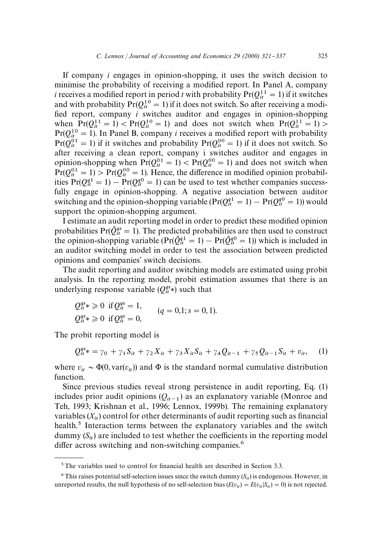If company *i* engages in opinion-shopping, it uses the switch decision to minimise the probability of receiving a modified report. In Panel A, company *i* receives a modified report in period *t* with probability  $Pr(Q_t^{11} = 1)$  if it switches and with probability  $Pr(Q_{it}^{10} = 1)$  if it does not switch. So after receiving a modified report, company *i* switches auditor and engages in opinion-shopping when  $Pr(Q_{it}^{11} = 1)$  <  $Pr(Q_{it}^{10} = 1)$  and does not switch when  $Pr(Q_{it}^{11} = 1)$  >  $Pr(Q_{ii}^{10} = 1)$ . In Panel B, company *i* receives a modified report with probability  $Pr(Q_{it}^{01} = 1)$  if it switches and probability  $Pr(Q_{it}^{00} = 1)$  if it does not switch. So after receiving a clean report, company i switches auditor and engages in opinion-shopping when  $Pr(Q_{it}^{01} = 1) < Pr(Q_{it}^{00} = 1)$  and does not switch when  $Pr(Q_{it}^{01} = 1)$  >  $Pr(Q_{it}^{00} = 1)$ . Hence, the difference in modified opinion probabilities  $Pr(Q_{tt}^{q1} = 1) - Pr(Q_{tt}^{q0} = 1)$  can be used to test whether companies successfully engage in opinion-shopping. A negative association between auditor switching and the opinion-shopping variable  $(\Pr(Q_{tt}^{q1} = 1) - \Pr(Q_{tt}^{q0} = 1))$  would support the opinion-shopping argument.

I estimate an audit reporting model in order to predict these modified opinion probabilities  $Pr(\hat{O}_{ij}^{gs} = 1)$ . The predicted probabilities are then used to construct the opinion-shopping variable  $(\Pr(\hat{Q}_{it}^{q1} = 1) - \Pr(\hat{Q}_{it}^{q0} = 1))$  which is included in an auditor switching model in order to test the association between predicted opinions and companies' switch decisions.

The audit reporting and auditor switching models are estimated using probit analysis. In the reporting model, probit estimation assumes that there is an underlying response variable  $(Q_{it}^{gs})$  such that

$$
Q_{it}^{qs} \ge 0
$$
 if  $Q_{it}^{qs} = 1$ ,  
\n $Q_{it}^{qs} \ge 0$  if  $Q_{it}^{qs} = 0$ ,  
\n $Q_{it}^{qs} \ge 0$  if  $Q_{it}^{qs} = 0$ ,

The probit reporting model is

$$
Q_{it}^{qs} = \gamma_0 + \gamma_1 S_{it} + \gamma_2 X_{it} + \gamma_3 X_{it} S_{it} + \gamma_4 Q_{it-1} + \gamma_5 Q_{it-1} S_{it} + v_{it}, \quad (1)
$$

where  $v_{it} \sim \Phi(0, \text{var}(v_{it}))$  and  $\Phi$  is the standard normal cumulative distribution function.

Since previous studies reveal strong persistence in audit reporting, Eq. (1) includes prior audit opinions  $(Q_{it-1})$  as an explanatory variable (Monroe and Teh, 1993; Krishnan et al., 1996; Lennox, 1999b). The remaining explanatory variables  $(X_{it})$  control for other determinants of audit reporting such as financial health.<sup>5</sup> Interaction terms between the explanatory variables and the switch dummy  $(S_{it})$  are included to test whether the coefficients in the reporting model differ across switching and non-switching companies. $6$ 

 $5$ The variables used to control for financial health are described in Section 3.3.

 $6$  This raises potential self-selection issues since the switch dummy  $(S_{it})$  is endogenous. However, in unreported results, the null hypothesis of no self-selection bias  $(E(v_{it}) = E(v_{it}|S_{it}) = 0)$  is not rejected.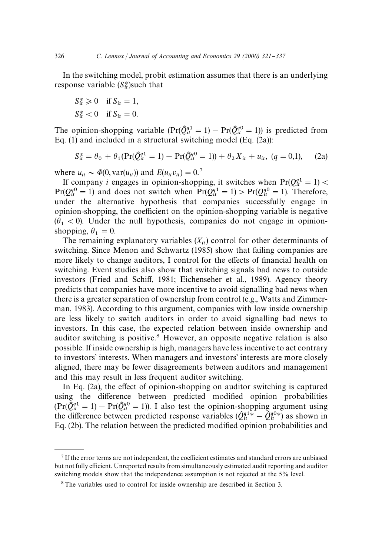In the switching model, probit estimation assumes that there is an underlying response variable  $(S_{it}^*)$ such that

$$
S_{it}^* \ge 0 \quad \text{if } S_{it} = 1,
$$
  

$$
S_{it}^* < 0 \quad \text{if } S_{it} = 0.
$$

The opinion-shopping variable  $(\Pr(\hat{Q}_{tt}^{q1} = 1) - \Pr(\hat{Q}_{tt}^{q0} = 1))$  is predicted from Eq. (1) and included in a structural switching model (Eq. (2a)):

$$
S_{it}^* = \theta_0 + \theta_1 (\Pr(\hat{Q}_{it}^{q1} = 1) - \Pr(\hat{Q}_{it}^{q0} = 1)) + \theta_2 X_{it} + u_{it}, (q = 0, 1), \quad (2a)
$$

where  $u_{it} \sim \Phi(0, \text{var}(u_{it}))$  and  $E(u_{it}v_{it}) = 0$ .<sup>7</sup>

If company *i* engages in opinion-shopping, it switches when  $Pr(Q_{it}^{q1} = 1)$  <  $Pr(Q_{it}^{q0} = 1)$  and does not switch when  $Pr(Q_{it}^{q1} = 1) > Pr(Q_{it}^{q0} = 1)$ . Therefore, under the alternative hypothesis that companies successfully engage in opinion-shopping, the coefficient on the opinion-shopping variable is negative  $(\theta_1 < 0)$ . Under the null hypothesis, companies do not engage in opinionshopping,  $\theta_1 = 0$ .

The remaining explanatory variables  $(X_{it})$  control for other determinants of switching. Since Menon and Schwartz (1985) show that failing companies are more likely to change auditors, I control for the effects of financial health on switching. Event studies also show that switching signals bad news to outside investors (Fried and Schiff, 1981; Eichenseher et al., 1989). Agency theory predicts that companies have more incentive to avoid signalling bad news when there is a greater separation of ownership from control (e.g., Watts and Zimmerman, 1983). According to this argument, companies with low inside ownership are less likely to switch auditors in order to avoid signalling bad news to investors. In this case, the expected relation between inside ownership and auditor switching is positive.<sup>8</sup> However, an opposite negative relation is also possible. If inside ownership is high, managers have less incentive to act contrary to investors' interests. When managers and investors' interests are more closely aligned, there may be fewer disagreements between auditors and management and this may result in less frequent auditor switching.

In Eq.  $(2a)$ , the effect of opinion-shopping on auditor switching is captured using the difference between predicted modified opinion probabilities  $(\Pr(\tilde{Q}_{it}^{q1} = 1) - \Pr(\hat{Q}_{it}^{q0} = 1)).$  I also test the opinion-shopping argument using the difference between predicted response variables  $(\hat{Q}_{tt}^{q_1*} - \hat{Q}_{tt}^{q_0*})$  as shown in Eq. (2b). The relation between the predicted modified opinion probabilities and

 $7$  If the error terms are not independent, the coefficient estimates and standard errors are unbiased but not fully efficient. Unreported results from simultaneously estimated audit reporting and auditor switching models show that the independence assumption is not rejected at the 5% level.

<sup>8</sup>The variables used to control for inside ownership are described in Section 3.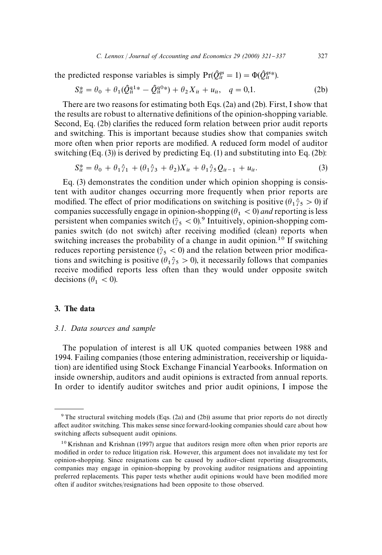the predicted response variables is simply  $Pr(\hat{Q}_{it}^{gs} = 1) = \Phi(\hat{Q}_{it}^{gs*})$ .

$$
S_{it}^* = \theta_0 + \theta_1(\hat{Q}_{it}^{q1*} - \hat{Q}_{it}^{q0*}) + \theta_2 X_{it} + u_{it}, \quad q = 0,1.
$$
 (2b)

There are two reasons for estimating both Eqs. (2a) and (2b). First, I show that the results are robust to alternative definitions of the opinion-shopping variable. Second, Eq. (2b) clarifies the reduced form relation between prior audit reports and switching. This is important because studies show that companies switch more often when prior reports are modified. A reduced form model of auditor switching  $(Eq. (3))$  is derived by predicting Eq. (1) and substituting into Eq. (2b):

$$
S_{it}^* = \theta_0 + \theta_1 \hat{\gamma}_1 + (\theta_1 \hat{\gamma}_3 + \theta_2) X_{it} + \theta_1 \hat{\gamma}_5 Q_{it-1} + u_{it}. \tag{3}
$$

Eq. (3) demonstrates the condition under which opinion shopping is consistent with auditor changes occurring more frequently when prior reports are modified. The effect of prior modifications on switching is positive ( $\theta_1 \hat{\gamma}_5 > 0$ ) if modified. The effect of prior modifications on switching is positive  $(v_1/s > v)$  in<br>companies successfully engage in opinion-shopping  $(\theta_1 < 0)$  *and* reporting is less persistent when companies switch  $(\hat{\gamma}_5 < 0)$ .<sup>9</sup> Intuitively, opinion-shopping companies switch (do not switch) after receiving modified (clean) reports when switching increases the probability of a change in audit opinion.<sup>10</sup> If switching reduces reporting persistence ( $\hat{y}_5 < 0$ ) and the relation between prior modifications and switching is positive ( $\theta_1 \hat{\gamma}_5 > 0$ ), it necessarily follows that companies from and switching is positive  $(0<sub>1</sub>/s > 0)$ , it necessarily follows that companies receive modified reports less often than they would under opposite switch decisions ( $\theta_1 < 0$ ).

## 3. The data

### *3.1. Data sources and sample*

The population of interest is all UK quoted companies between 1988 and 1994. Failing companies (those entering administration, receivership or liquidation) are identified using Stock Exchange Financial Yearbooks. Information on inside ownership, auditors and audit opinions is extracted from annual reports. In order to identify auditor switches and prior audit opinions, I impose the

<sup>&</sup>lt;sup>9</sup>The structural switching models (Eqs. (2a) and (2b)) assume that prior reports do not directly affect auditor switching. This makes sense since forward-looking companies should care about how switching affects subsequent audit opinions.

 $10$  Krishnan and Krishnan (1997) argue that auditors resign more often when prior reports are modified in order to reduce litigation risk. However, this argument does not invalidate my test for opinion-shopping. Since resignations can be caused by auditor-client reporting disagreements, companies may engage in opinion-shopping by provoking auditor resignations and appointing preferred replacements. This paper tests whether audit opinions would have been modified more often if auditor switches/resignations had been opposite to those observed.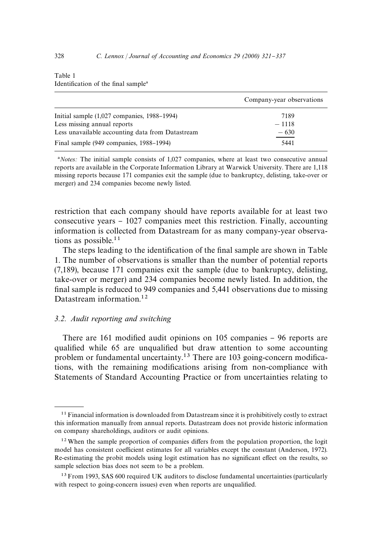|                                                  | Company-year observations |
|--------------------------------------------------|---------------------------|
| Initial sample $(1,027)$ companies, 1988–1994)   | 7189                      |
| Less missing annual reports                      | $-1118$                   |
| Less unavailable accounting data from Datastream | $-630$                    |
| Final sample (949 companies, 1988–1994)          | 5441                      |

Table 1 Identification of the final sample<sup>a</sup>

<sup>a</sup>Notes: The initial sample consists of 1,027 companies, where at least two consecutive annual reports are available in the Corporate Information Library at Warwick University. There are 1,118 missing reports because 171 companies exit the sample (due to bankruptcy, delisting, take-over or merger) and 234 companies become newly listed.

restriction that each company should have reports available for at least two consecutive years  $-1027$  companies meet this restriction. Finally, accounting information is collected from Datastream for as many company-year observations as possible. $11$ 

The steps leading to the identification of the final sample are shown in Table 1. The number of observations is smaller than the number of potential reports (7,189), because 171 companies exit the sample (due to bankruptcy, delisting, take-over or merger) and 234 companies become newly listed. In addition, the final sample is reduced to 949 companies and 5,441 observations due to missing Datastream information.<sup>12</sup>

# *3.2. Audit reporting and switching*

There are 161 modified audit opinions on  $105$  companies  $-96$  reports are qualified while 65 are unqualified but draw attention to some accounting problem or fundamental uncertainty.<sup>13</sup> There are 103 going-concern modifications, with the remaining modifications arising from non-compliance with Statements of Standard Accounting Practice or from uncertainties relating to

 $11$  Financial information is downloaded from Datastream since it is prohibitively costly to extract this information manually from annual reports. Datastream does not provide historic information on company shareholdings, auditors or audit opinions.

 $12$  When the sample proportion of companies differs from the population proportion, the logit model has consistent coefficient estimates for all variables except the constant (Anderson, 1972). Re-estimating the probit models using logit estimation has no significant effect on the results, so sample selection bias does not seem to be a problem.

<sup>&</sup>lt;sup>13</sup> From 1993, SAS 600 required UK auditors to disclose fundamental uncertainties (particularly with respect to going-concern issues) even when reports are unqualified.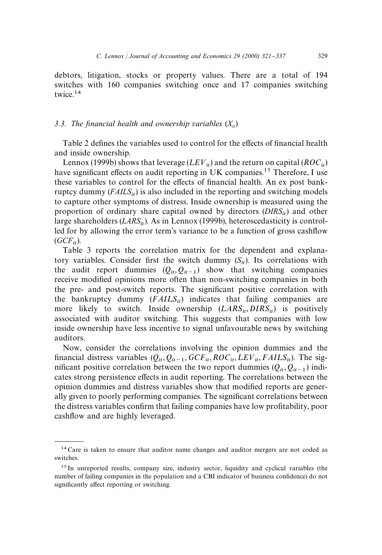debtors, litigation, stocks or property values. There are a total of 194 switches with 160 companies switching once and 17 companies switching twice.14

#### *3.3. The financial health and ownership variables*  $(X_{it})$

Table 2 defines the variables used to control for the effects of financial health and inside ownership.

Lennox (1999b) shows that leverage  $(LEV_{it})$  and the return on capital (*ROC*<sub>it</sub>) have significant effects on audit reporting in UK companies.<sup>15</sup> Therefore, I use these variables to control for the effects of financial health. An ex post bankruptcy dummy  $(FAILS_{it})$  is also included in the reporting and switching models to capture other symptoms of distress. Inside ownership is measured using the proportion of ordinary share capital owned by directors  $(DIRS<sub>it</sub>)$  and other large shareholders (*LARS*<sub>it</sub>). As in Lennox (1999b), heteroscedasticity is controlled for by allowing the error term's variance to be a function of gross cashflow  $(GCF_{it})$ .

Table 3 reports the correlation matrix for the dependent and explanatory variables. Consider first the switch dummy  $(S_{it})$ . Its correlations with the audit report dummies  $(Q_{it}, Q_{it-1})$  show that switching companies receive modified opinions more often than non-switching companies in both the pre- and post-switch reports. The significant positive correlation with the bankruptcy dummy  $(FAILS<sub>it</sub>)$  indicates that failing companies are more likely to switch. Inside ownership  $(LARS_{it}, DIRS_{it})$  is positively associated with auditor switching. This suggests that companies with low inside ownership have less incentive to signal unfavourable news by switching auditors.

Now, consider the correlations involving the opinion dummies and the financial distress variables  $(Q_{it}, Q_{it-1}, GCF_{it}, ROC_{it}, LEV_{it}, FAILS_{it})$ . The significant positive correlation between the two report dummies  $(Q_{it}, Q_{it-1})$  indicates strong persistence effects in audit reporting. The correlations between the opinion dummies and distress variables show that modified reports are generally given to poorly performing companies. The significant correlations between the distress variables confirm that failing companies have low profitability, poor cashflow and are highly leveraged.

<sup>&</sup>lt;sup>14</sup> Care is taken to ensure that auditor name changes and auditor mergers are not coded as switches.

<sup>&</sup>lt;sup>15</sup> In unreported results, company size, industry sector, liquidity and cyclical variables (the number of failing companies in the population and a CBI indicator of business confidence) do not significantly affect reporting or switching.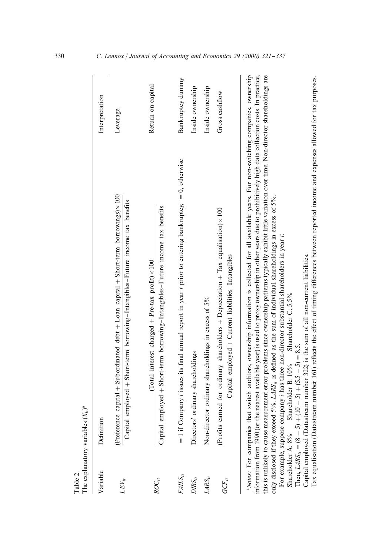| Table 2              | The explanatory variables $(X_{it})^a$                                                                                                                                                                                                                                                                                                                                                                                                                                                                                                                                                                                                                                                                                                                                                                                                                                                                                                                                                                                                                                                             |                   |
|----------------------|----------------------------------------------------------------------------------------------------------------------------------------------------------------------------------------------------------------------------------------------------------------------------------------------------------------------------------------------------------------------------------------------------------------------------------------------------------------------------------------------------------------------------------------------------------------------------------------------------------------------------------------------------------------------------------------------------------------------------------------------------------------------------------------------------------------------------------------------------------------------------------------------------------------------------------------------------------------------------------------------------------------------------------------------------------------------------------------------------|-------------------|
| Variable             | Definition                                                                                                                                                                                                                                                                                                                                                                                                                                                                                                                                                                                                                                                                                                                                                                                                                                                                                                                                                                                                                                                                                         | Interpretation    |
| $LEV_{it}$           | (Preference capital + Subordinated debt + Loan capital + Short-term borrowings) × 100<br>$Capital$ employed $+$ Short-term borrowing-Intangibles-Future income tax benefits                                                                                                                                                                                                                                                                                                                                                                                                                                                                                                                                                                                                                                                                                                                                                                                                                                                                                                                        | Leverage          |
| $ROC_{it}$           | Capital employed + Short-term borrowing-Intangibles-Future income tax benefits<br>Total interest charged $+$ Pre-tax profit) $\times$ 100                                                                                                                                                                                                                                                                                                                                                                                                                                                                                                                                                                                                                                                                                                                                                                                                                                                                                                                                                          | Return on capital |
| $FALS_{it}$          | $= 1$ if Company <i>i</i> issues its final annual report in year <i>t</i> prior to entering bankruptcy; $= 0$ , otherwise                                                                                                                                                                                                                                                                                                                                                                                                                                                                                                                                                                                                                                                                                                                                                                                                                                                                                                                                                                          | Bankruptcy dummy  |
| $DRS_{it}$           | Directors' ordinary shareholdings                                                                                                                                                                                                                                                                                                                                                                                                                                                                                                                                                                                                                                                                                                                                                                                                                                                                                                                                                                                                                                                                  | Inside ownership  |
| $\mathit{LARS}_{it}$ | Non-director ordinary shareholdings in excess of 5%                                                                                                                                                                                                                                                                                                                                                                                                                                                                                                                                                                                                                                                                                                                                                                                                                                                                                                                                                                                                                                                | Inside ownership  |
| $GCF_{it}$           | (Profits earned for ordinary shareholders + Depreciation + Tax equalisation) $\times$ 100<br>Capital employed + Current liabilities-Intangibles                                                                                                                                                                                                                                                                                                                                                                                                                                                                                                                                                                                                                                                                                                                                                                                                                                                                                                                                                    | Gross cashflow    |
|                      | <sup>a</sup> Notes: For companies that switch auditors, ownership information is collected for all available years. For non-switching companies, ownership<br>information from 1990 (or the nearest available year) is used to proxy ownership in other years due to prohibitively high data collection costs. In practice,<br>this is unlikely to cause measurement error problems since ownership patterns typically exhibit little variation over time. Non-director shareholdings are<br>Iax equalisation (Datastream number 161) reflects the effect of timing differences between reported income and expenses allowed for tax purposes.<br>only disclosed if they exceed $5\%$ . LARS <sub>is</sub> is defined as the sum of individual shareholdings in excess of $5\%$ .<br>For example, suppose company i has three non-director substantial shareholders in year t.<br>Capital employed (Datastream number 322) is the sum of all non-current liabilities.<br>Shareholder C: 5.5%<br>Then, $LARS_{it} = (8 - 5) + (10 - 5) + (5.5 - 5) = 8.5$ .<br>Shareholder A: 8% Shareholder B: 10% |                   |

330 *C. Lennox | Journal of Accounting and Economics 29 (2000) 321-337*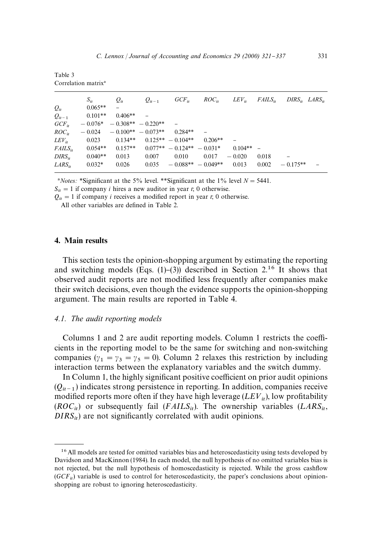| Correlation matrix <sup>a</sup> |           |                      |                      |                              |            |            |              |                         |  |
|---------------------------------|-----------|----------------------|----------------------|------------------------------|------------|------------|--------------|-------------------------|--|
|                                 | $S_{it}$  | $Q_{it}$             | $Q_{it-1}$           | $GCF_{it}$                   | $ROC_{ir}$ | $LEV_{ir}$ | $FAILS_{ir}$ | $DIRS_{it}$ $LARS_{it}$ |  |
| $Q_{it}$                        | $0.065**$ |                      |                      |                              |            |            |              |                         |  |
| $Q_{it-1}$                      | $0.101**$ | $0.406**$            |                      |                              |            |            |              |                         |  |
| $GCF_{ii}$                      | $-0.076*$ | $-0.308** - 0.220**$ |                      |                              |            |            |              |                         |  |
| $ROC_{it}$                      | $-0.024$  |                      | $-0.100** - 0.073**$ | $0.284**$                    |            |            |              |                         |  |
| $LEV_{it}$                      | 0.023     | $0.134**$            |                      | $0.125** - 0.104**$          | $0.206**$  |            |              |                         |  |
| $FAILS_{it}$                    | $0.054**$ | $0.157**$            |                      | $0.077** - 0.124** - 0.031*$ |            | $0.104**$  |              |                         |  |
| $DIRS_{ir}$                     | $0.040**$ | 0.013                | 0.007                | 0.010                        | 0.017      | $-0.020$   | 0.018        | -                       |  |
| $LARS_{it}$                     | $0.032*$  | 0.026                | 0.035                | $-0.088** - 0.049**$         |            | 0.013      | 0.002        | $-0.175**$              |  |

<sup>a</sup>*Notes: \*Significant at the 5% level. \*\*Significant at the 1% level*  $N = 5441$ *.* 

 $S_{it} = 1$  if company *i* hires a new auditor in year *t*; 0 otherwise.

 $Q_{it} = 1$  if company *i* receives a modified report in year *t*; 0 otherwise.

All other variables are defined in Table 2.

## 4. Main results

Table 3

This section tests the opinion-shopping argument by estimating the reporting and switching models (Eqs.  $(1)-(3)$ ) described in Section 2.<sup>16</sup> It shows that observed audit reports are not modified less frequently after companies make their switch decisions, even though the evidence supports the opinion-shopping argument. The main results are reported in Table 4.

#### *4.1. The audit reporting models*

Columns 1 and 2 are audit reporting models. Column 1 restricts the coefficients in the reporting model to be the same for switching and non-switching companies ( $\gamma_1 = \gamma_3 = \gamma_5 = 0$ ). Column 2 relaxes this restriction by including interaction terms between the explanatory variables and the switch dummy.

In Column 1, the highly significant positive coefficient on prior audit opinions  $(Q_{it-1})$  indicates strong persistence in reporting. In addition, companies receive modified reports more often if they have high leverage  $(LEV_{it})$ , low profitability  $(ROC_{it})$  or subsequently fail  $(FAILS_{it})$ . The ownership variables  $(LARS_{it})$ ,  $DIRS_{it}$ ) are not significantly correlated with audit opinions.

<sup>&</sup>lt;sup>16</sup> All models are tested for omitted variables bias and heteroscedasticity using tests developed by Davidson and MacKinnon (1984). In each model, the null hypothesis of no omitted variables bias is not rejected, but the null hypothesis of homoscedasticity is rejected. While the gross cashflow  $(GCF_{it})$  variable is used to control for heteroscedasticity, the paper's conclusions about opinionshopping are robust to ignoring heteroscedasticity.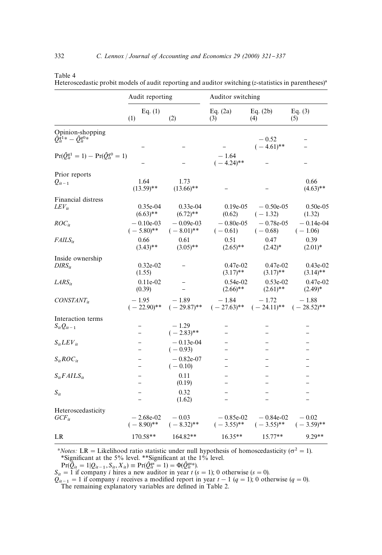|                                                                              | Audit reporting             |                             | Auditor switching            |                             |                           |  |
|------------------------------------------------------------------------------|-----------------------------|-----------------------------|------------------------------|-----------------------------|---------------------------|--|
|                                                                              | Eq. $(1)$<br>(1)            | (2)                         | Eq. $(2a)$<br>(3)            | Eq. $(2b)$<br>(4)           | Eq. $(3)$<br>(5)          |  |
| Opinion-shopping<br>$\hat{Q}_{it}^{\hat{q}_{1\ast}} - \hat{Q}_{it}^{q0\ast}$ |                             |                             |                              | $-0.52$                     |                           |  |
|                                                                              |                             |                             |                              | $(-4.61)$ **                |                           |  |
| $Pr(\hat{Q}_{it}^{q1} = 1) - Pr(\hat{Q}_{it}^{q0} = 1)$                      |                             |                             | $-1.64$<br>$(-4.24)$ **      |                             |                           |  |
| Prior reports                                                                |                             |                             |                              |                             |                           |  |
| $Q_{it-1}$                                                                   | 1.64<br>$(13.59)$ **        | 1.73<br>$(13.66)$ **        |                              |                             | 0.66<br>$(4.63)$ **       |  |
| Financial distress                                                           |                             |                             |                              |                             |                           |  |
| $LEV_{it}$                                                                   | $0.35e-04$<br>$(6.63)$ **   | $0.33e-04$<br>$(6.72)$ **   | $0.19e-0.5$<br>(0.62)        | $-0.50e-0.5$<br>$(-1.32)$   | $0.50e-0.5$<br>(1.32)     |  |
| $ROC_{it}$                                                                   | $-0.10e-03$<br>$(-5.80)$ ** | $-0.09e-03$<br>$(-8.01)$ ** | $-0.80e-0.5$<br>$(-0.61)$    | $-0.78e-0.5$<br>$(-0.68)$   | $-0.14e-04$<br>$(-1.06)$  |  |
| $FAILS_{it}$                                                                 | 0.66<br>$(3.43)$ **         | 0.61<br>$(3.05)$ **         | 0.51<br>$(2.65)$ **          | 0.47<br>$(2.42)^*$          | 0.39<br>$(2.01)^*$        |  |
| Inside ownership<br>$DIRS_{it}$                                              | $0.32e-02$<br>(1.55)        |                             | $0.47e-02$<br>$(3.17)$ **    | $0.47e-02$<br>$(3.17)$ **   | $0.43e-02$<br>$(3.14)$ ** |  |
| $LARS_{it}$                                                                  | $0.11e-02$<br>(0.39)        |                             | $0.54e-02$<br>$(2.66)$ **    | $0.53e-02$<br>$(2.61)$ **   | $0.47e-02$<br>$(2.49)*$   |  |
| $CONSTAT_{it}$                                                               | $-1.95$<br>$(-22.90)$ **    | $-1.89$<br>$(-29.87)$ **    | $-1.84$<br>$(-27.63)$ **     | $-1.72$<br>$(-24.11)$ **    | $-1.88$<br>$(-28.52)$ **  |  |
| Interaction terms                                                            |                             |                             |                              |                             |                           |  |
| $S_{it}Q_{it-1}$                                                             |                             | $-1.29$<br>$(-2.83)$ **     |                              |                             |                           |  |
| $S_{it}LEV_{it}$                                                             | -                           | $-0.13e-0.4$<br>$(-0.93)$   |                              |                             |                           |  |
| $S_{it}ROC_{it}$                                                             |                             | $-0.82e-07$<br>$(-0.10)$    |                              |                             |                           |  |
| $S_{it}FAILS_{it}$                                                           |                             | 0.11<br>(0.19)              |                              |                             |                           |  |
|                                                                              |                             |                             |                              |                             |                           |  |
| $S_{it}$                                                                     |                             | 0.32<br>(1.62)              |                              |                             | -                         |  |
| Heteroscedasticity                                                           |                             |                             |                              |                             |                           |  |
| $GCF_{it}$                                                                   | $-2.68e-02$<br>$(-8.90)$ ** | $-0.03$<br>$(-8.32)$ **     | $-0.85e-0.2$<br>$(-3.55)$ ** | $-0.84e-02$<br>$(-3.55)$ ** | $-0.02$<br>$(-3.59)$ **   |  |
| LR                                                                           | 170.58**                    | 164.82**                    | $16.35**$                    | $15.77**$                   | 9.29**                    |  |

Heteroscedastic probit models of audit reporting and auditor switching (*z*-statistics in parentheses)<sup>a</sup>

<sup>a</sup>*Notes:* LR = Likelihood ratio statistic under null hypothesis of homoscedasticity ( $\sigma^2 = 1$ ). *\*Significant at the 5% level. \*\*Significant at the 1% level.* 

$$
Pr(Q_{it} = 1 | Q_{it-1}, S_{it}, X_{it}) \equiv Pr(Q_{it}^{qs} = 1) = \Phi(Q_{it}^{qs})
$$

 $Pr(\tilde{Q}_{it} = 1 | Q_{it-1}, S_{it}, X_{it}) \equiv Pr(\tilde{Q}_{it}^{g*} = 1) = \Phi(\tilde{Q}_{it}^{g*})$ .<br> *S<sub>it</sub>* = 1 if company *i* hires a new auditor in year *t* (*s* = 1); 0 otherwise (*s* = 0).

 $Q_{it-1} = 1$  if company *i* receives a modified report in year  $t - 1$  ( $q = 1$ ); 0 otherwise ( $q = 0$ ). The remaining explanatory variables are defined in Table 2.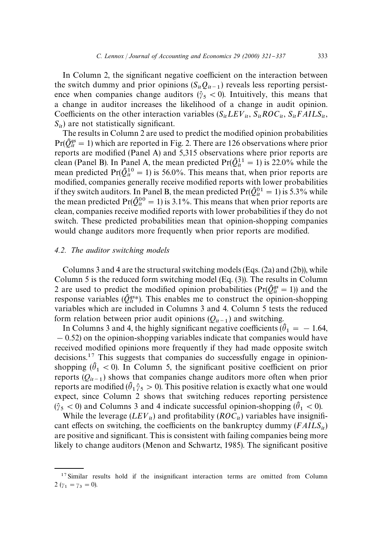In Column 2, the significant negative coefficient on the interaction between the switch dummy and prior opinions  $(S_{it}Q_{it-1})$  reveals less reporting persistence when companies change auditors ( $\hat{y}_5 < 0$ ). Intuitively, this means that a change in auditor increases the likelihood of a change in audit opinion. Coefficients on the other interaction variables ( $S_{it}$ *LEV*<sub>it</sub>,  $S_{it}$ *ROC*<sub>it</sub>,  $S_{it}$ *FAILS*<sub>it</sub>,  $S_{it}$ ) are not statistically significant.

The results in Column 2 are used to predict the modified opinion probabilities  $Pr(\hat{Q}_{it}^{qs} = 1)$  which are reported in Fig. 2. There are 126 observations where prior reports are modified (Panel A) and 5,315 observations where prior reports are clean (Panel B). In Panel A, the mean predicted  $Pr(\hat{Q}_{it}^{11} = 1)$  is 22.0% while the mean predicted Pr( $\hat{Q}_{it}^{10} = 1$ ) is 56.0%. This means that, when prior reports are modified, companies generally receive modified reports with lower probabilities if they switch auditors. In Panel B, the mean predicted  $Pr(\hat{Q}_{it}^{01} = 1)$  is 5.3% while the mean predicted Pr( $\hat{Q}_{it}^{00} = 1$ ) is 3.1%. This means that when prior reports are clean, companies receive modified reports with lower probabilities if they do not switch. These predicted probabilities mean that opinion-shopping companies would change auditors more frequently when prior reports are modified.

#### *4.2. The auditor switching models*

Columns 3 and 4 are the structural switching models (Eqs. (2a) and (2b)), while Column 5 is the reduced form switching model (Eq. (3)). The results in Column 2 are used to predict the modified opinion probabilities ( $Pr(\hat{Q}^{qs}_{tt} = 1)$ ) and the response variables ( $\hat{Q}_{it}^{gs*}$ ). This enables me to construct the opinion-shopping variables which are included in Columns 3 and 4. Column 5 tests the reduced form relation between prior audit opinions  $(Q_{it-1})$  and switching.

In Columns 3 and 4, the highly significant negative coefficients ( $\hat{\theta}_1 = -1.64$ ,  $-0.52$ ) on the opinion-shopping variables indicate that companies would have received modified opinions more frequently if they had made opposite switch decisions.<sup>17</sup> This suggests that companies do successfully engage in opinionshopping  $(\hat{\theta}_1 < 0)$ . In Column 5, the significant positive coefficient on prior reports  $(Q_{it-1})$  shows that companies change auditors more often when prior reports are modified ( $\hat{\theta}_1 \hat{\gamma}_5 > 0$ ). This positive relation is exactly what one would expect, since Column 2 shows that switching reduces reporting persistence  $(\hat{y}_5 < 0)$  and Columns 3 and 4 indicate successful opinion-shopping  $(\hat{\theta}_1 < 0)$ .

While the leverage  $(EEV_{it})$  and profitability  $(ROC_{it})$  variables have insignificant effects on switching, the coefficients on the bankruptcy dummy  $(FAILS_{it})$ are positive and significant. This is consistent with failing companies being more likely to change auditors (Menon and Schwartz, 1985). The significant positive

<sup>&</sup>lt;sup>17</sup> Similar results hold if the insignificant interaction terms are omitted from Column  $2(\gamma_1 = \gamma_3 = 0).$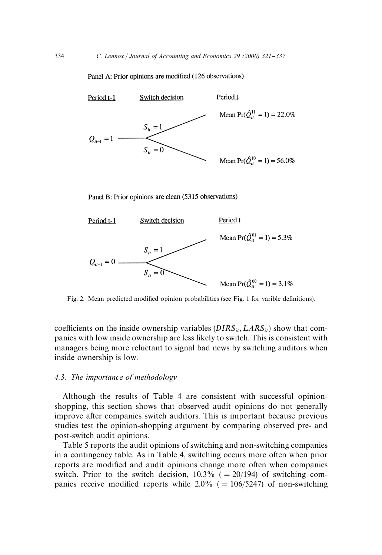### Panel A: Prior opinions are modified (126 observations)



Panel B: Prior opinions are clean (5315 observations)



Fig. 2. Mean predicted modified opinion probabilities (see Fig. 1 for varible definitions).

coefficients on the inside ownership variables  $(DIRS_{it}, LARS_{it})$  show that companies with low inside ownership are less likely to switch. This is consistent with managers being more reluctant to signal bad news by switching auditors when inside ownership is low.

## *4.3. The importance of methodology*

Although the results of Table 4 are consistent with successful opinionshopping, this section shows that observed audit opinions do not generally improve after companies switch auditors. This is important because previous studies test the opinion-shopping argument by comparing observed pre- and post-switch audit opinions.

Table 5 reports the audit opinions of switching and non-switching companies in a contingency table. As in Table 4, switching occurs more often when prior reports are modified and audit opinions change more often when companies switch. Prior to the switch decision,  $10.3\%$  ( $= 20/194$ ) of switching companies receive modified reports while  $2.0\%$  ( $= 106/5247$ ) of non-switching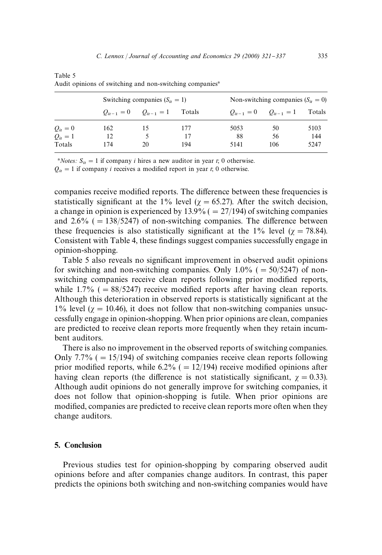|            |     | Switching companies $(S_{it} = 1)$ |        |      | Non-switching companies $(S_{ii} = 0)$ |        |  |  |
|------------|-----|------------------------------------|--------|------|----------------------------------------|--------|--|--|
|            |     | $Q_{it-1} = 0$ $Q_{it-1} = 1$      | Totals |      | $Q_{it-1} = 0$ $Q_{it-1} = 1$          | Totals |  |  |
| $Q_{it}=0$ | 162 |                                    | 177    | 5053 | 50                                     | 5103   |  |  |
| $Q_{it}=1$ | 12  |                                    | 17     | -88  | 56                                     | 144    |  |  |
| Totals     | 174 | 20                                 | 194    | 5141 | 106                                    | 5247   |  |  |

Table 5 Audit opinions of switching and non-switching companies<sup>a</sup>

<sup>a</sup>*Notes:*  $S_{it} = 1$  if company *i* hires a new auditor in year *t*; 0 otherwise.

 $Q_{it} = 1$  if company *i* receives a modified report in year *t*; 0 otherwise.

companies receive modified reports. The difference between these frequencies is statistically significant at the 1% level ( $\gamma = 65.27$ ). After the switch decision, a change in opinion is experienced by  $13.9\%$  ( $= 27/194$ ) of switching companies and  $2.6\%$  ( $= 138/5247$ ) of non-switching companies. The difference between these frequencies is also statistically significant at the 1% level ( $\gamma = 78.84$ ). Consistent with Table 4, these findings suggest companies successfully engage in opinion-shopping.

Table 5 also reveals no significant improvement in observed audit opinions for switching and non-switching companies. Only  $1.0\%$  ( $= 50/5247$ ) of nonswitching companies receive clean reports following prior modified reports, while  $1.7\%$  ( $= 88/5247$ ) receive modified reports after having clean reports. Although this deterioration in observed reports is statistically significant at the 1% level ( $\gamma = 10.46$ ), it does not follow that non-switching companies unsuccessfully engage in opinion-shopping. When prior opinions are clean, companies are predicted to receive clean reports more frequently when they retain incumbent auditors.

There is also no improvement in the observed reports of switching companies. Only 7.7% ( $= 15/194$ ) of switching companies receive clean reports following prior modified reports, while 6.2% ( $= 12/194$ ) receive modified opinions after having clean reports (the difference is not statistically significant,  $\chi = 0.33$ ). Although audit opinions do not generally improve for switching companies, it does not follow that opinion-shopping is futile. When prior opinions are modified, companies are predicted to receive clean reports more often when they change auditors.

# 5. Conclusion

Previous studies test for opinion-shopping by comparing observed audit opinions before and after companies change auditors. In contrast, this paper predicts the opinions both switching and non-switching companies would have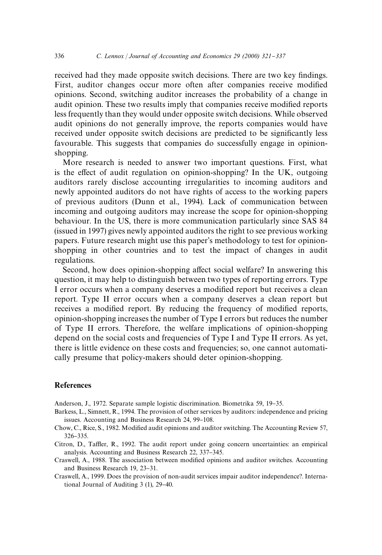received had they made opposite switch decisions. There are two key findings. First, auditor changes occur more often after companies receive modified opinions. Second, switching auditor increases the probability of a change in audit opinion. These two results imply that companies receive modified reports less frequently than they would under opposite switch decisions. While observed audit opinions do not generally improve, the reports companies would have received under opposite switch decisions are predicted to be significantly less favourable. This suggests that companies do successfully engage in opinionshopping.

More research is needed to answer two important questions. First, what is the effect of audit regulation on opinion-shopping? In the UK, outgoing auditors rarely disclose accounting irregularities to incoming auditors and newly appointed auditors do not have rights of access to the working papers of previous auditors (Dunn et al., 1994). Lack of communication between incoming and outgoing auditors may increase the scope for opinion-shopping behaviour. In the US, there is more communication particularly since SAS 84 (issued in 1997) gives newly appointed auditors the right to see previous working papers. Future research might use this paper's methodology to test for opinionshopping in other countries and to test the impact of changes in audit regulations.

Second, how does opinion-shopping affect social welfare? In answering this question, it may help to distinguish between two types of reporting errors. Type I error occurs when a company deserves a modified report but receives a clean report. Type II error occurs when a company deserves a clean report but receives a modified report. By reducing the frequency of modified reports, opinion-shopping increases the number of Type I errors but reduces the number of Type II errors. Therefore, the welfare implications of opinion-shopping depend on the social costs and frequencies of Type I and Type II errors. As yet, there is little evidence on these costs and frequencies; so, one cannot automatically presume that policy-makers should deter opinion-shopping.

# **References**

Anderson, J., 1972. Separate sample logistic discrimination. Biometrika 59, 19-35.

Barkess, L., Simnett, R., 1994. The provision of other services by auditors: independence and pricing issues. Accounting and Business Research 24, 99-108.

- Chow, C., Rice, S., 1982. Modified audit opinions and auditor switching. The Accounting Review 57, 326-335.
- Citron, D., Taffler, R., 1992. The audit report under going concern uncertainties: an empirical analysis. Accounting and Business Research 22, 337–345.
- Craswell, A., 1988. The association between modified opinions and auditor switches. Accounting and Business Research 19, 23-31.
- Craswell, A., 1999. Does the provision of non-audit services impair auditor independence?. International Journal of Auditing  $3(1)$ ,  $29-40$ .